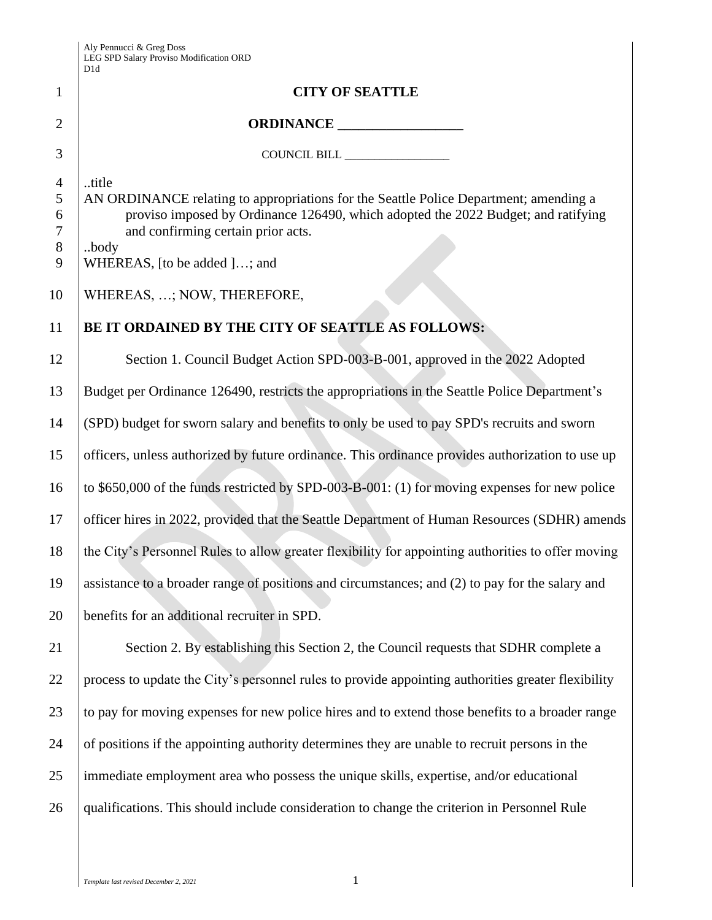|                                                  | D1d                                                                                                                                                                                                                                                               |
|--------------------------------------------------|-------------------------------------------------------------------------------------------------------------------------------------------------------------------------------------------------------------------------------------------------------------------|
| $\mathbf{1}$                                     | <b>CITY OF SEATTLE</b>                                                                                                                                                                                                                                            |
| 2                                                | ORDINANCE                                                                                                                                                                                                                                                         |
| 3                                                | COUNCIL BILL                                                                                                                                                                                                                                                      |
| $\overline{4}$<br>5<br>6<br>$\tau$<br>$8\,$<br>9 | title<br>AN ORDINANCE relating to appropriations for the Seattle Police Department; amending a<br>proviso imposed by Ordinance 126490, which adopted the 2022 Budget; and ratifying<br>and confirming certain prior acts.<br>body<br>WHEREAS, [to be added ]; and |
| 10                                               | WHEREAS, ; NOW, THEREFORE,                                                                                                                                                                                                                                        |
| 11                                               | BE IT ORDAINED BY THE CITY OF SEATTLE AS FOLLOWS:                                                                                                                                                                                                                 |
| 12                                               | Section 1. Council Budget Action SPD-003-B-001, approved in the 2022 Adopted                                                                                                                                                                                      |
| 13                                               | Budget per Ordinance 126490, restricts the appropriations in the Seattle Police Department's                                                                                                                                                                      |
| 14                                               | (SPD) budget for sworn salary and benefits to only be used to pay SPD's recruits and sworn                                                                                                                                                                        |
| 15                                               | officers, unless authorized by future ordinance. This ordinance provides authorization to use up                                                                                                                                                                  |
| 16                                               | to \$650,000 of the funds restricted by SPD-003-B-001: (1) for moving expenses for new police                                                                                                                                                                     |
| 17                                               | officer hires in 2022, provided that the Seattle Department of Human Resources (SDHR) amends                                                                                                                                                                      |
| 18                                               | the City's Personnel Rules to allow greater flexibility for appointing authorities to offer moving                                                                                                                                                                |
| 19                                               | assistance to a broader range of positions and circumstances; and (2) to pay for the salary and                                                                                                                                                                   |
| 20                                               | benefits for an additional recruiter in SPD.                                                                                                                                                                                                                      |
| 21                                               | Section 2. By establishing this Section 2, the Council requests that SDHR complete a                                                                                                                                                                              |
| 22                                               | process to update the City's personnel rules to provide appointing authorities greater flexibility                                                                                                                                                                |
| 23                                               | to pay for moving expenses for new police hires and to extend those benefits to a broader range                                                                                                                                                                   |
| 24                                               | of positions if the appointing authority determines they are unable to recruit persons in the                                                                                                                                                                     |
| 25                                               | immediate employment area who possess the unique skills, expertise, and/or educational                                                                                                                                                                            |
| 26                                               | qualifications. This should include consideration to change the criterion in Personnel Rule                                                                                                                                                                       |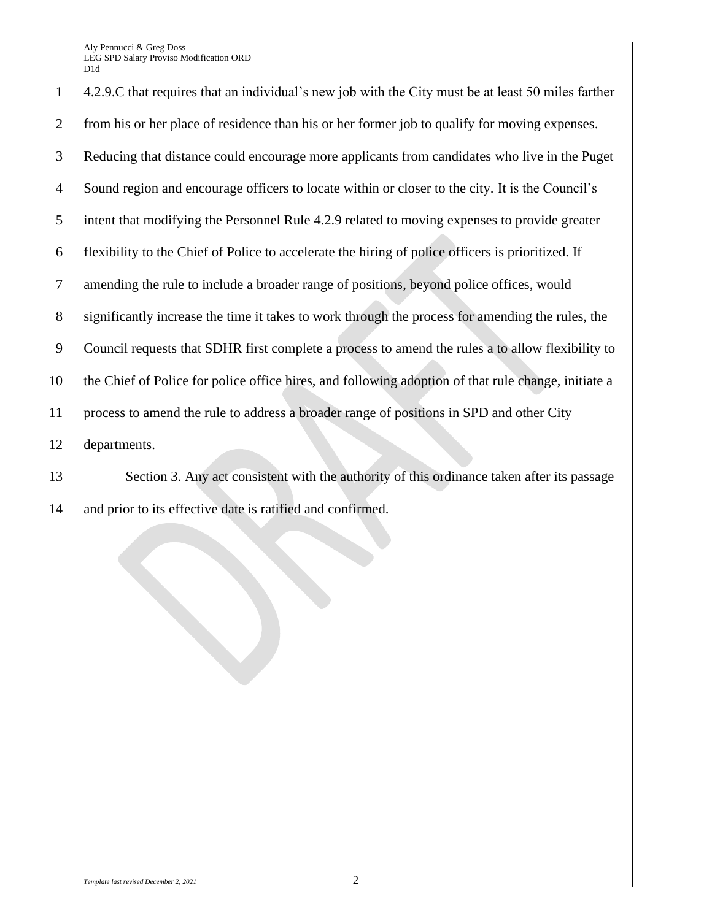Aly Pennucci & Greg Doss LEG SPD Salary Proviso Modification ORD D1d

 4.2.9.C that requires that an individual's new job with the City must be at least 50 miles farther from his or her place of residence than his or her former job to qualify for moving expenses. Reducing that distance could encourage more applicants from candidates who live in the Puget Sound region and encourage officers to locate within or closer to the city. It is the Council's intent that modifying the Personnel Rule 4.2.9 related to moving expenses to provide greater flexibility to the Chief of Police to accelerate the hiring of police officers is prioritized. If amending the rule to include a broader range of positions, beyond police offices, would 8 significantly increase the time it takes to work through the process for amending the rules, the Council requests that SDHR first complete a process to amend the rules a to allow flexibility to the Chief of Police for police office hires, and following adoption of that rule change, initiate a process to amend the rule to address a broader range of positions in SPD and other City departments.

13 Section 3. Any act consistent with the authority of this ordinance taken after its passage 14 and prior to its effective date is ratified and confirmed.